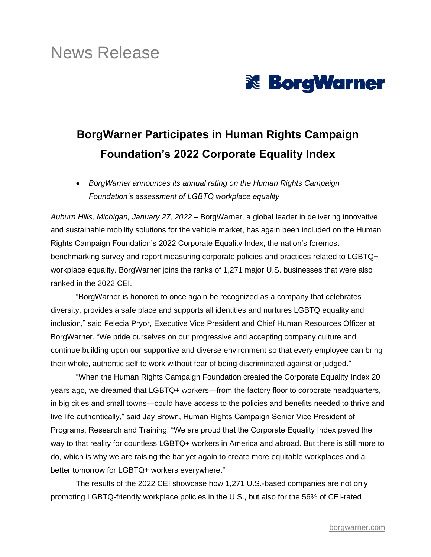# News Release



## **BorgWarner Participates in Human Rights Campaign Foundation's 2022 Corporate Equality Index**

• *BorgWarner announces its annual rating on the Human Rights Campaign Foundation's assessment of LGBTQ workplace equality*

*Auburn Hills, Michigan, January 27, 2022* – BorgWarner, a global leader in delivering innovative and sustainable mobility solutions for the vehicle market, has again been included on the Human Rights Campaign Foundation's 2022 Corporate Equality Index, the nation's foremost benchmarking survey and report measuring corporate policies and practices related to LGBTQ+ workplace equality. BorgWarner joins the ranks of 1,271 major U.S. businesses that were also ranked in the 2022 CEI.

"BorgWarner is honored to once again be recognized as a company that celebrates diversity, provides a safe place and supports all identities and nurtures LGBTQ equality and inclusion," said Felecia Pryor, Executive Vice President and Chief Human Resources Officer at BorgWarner. "We pride ourselves on our progressive and accepting company culture and continue building upon our supportive and diverse environment so that every employee can bring their whole, authentic self to work without fear of being discriminated against or judged."

"When the Human Rights Campaign Foundation created the Corporate Equality Index 20 years ago, we dreamed that LGBTQ+ workers—from the factory floor to corporate headquarters, in big cities and small towns—could have access to the policies and benefits needed to thrive and live life authentically," said Jay Brown, Human Rights Campaign Senior Vice President of Programs, Research and Training. "We are proud that the Corporate Equality Index paved the way to that reality for countless LGBTQ+ workers in America and abroad. But there is still more to do, which is why we are raising the bar yet again to create more equitable workplaces and a better tomorrow for LGBTQ+ workers everywhere."

The results of the 2022 CEI showcase how 1,271 U.S.-based companies are not only promoting LGBTQ-friendly workplace policies in the U.S., but also for the 56% of CEI-rated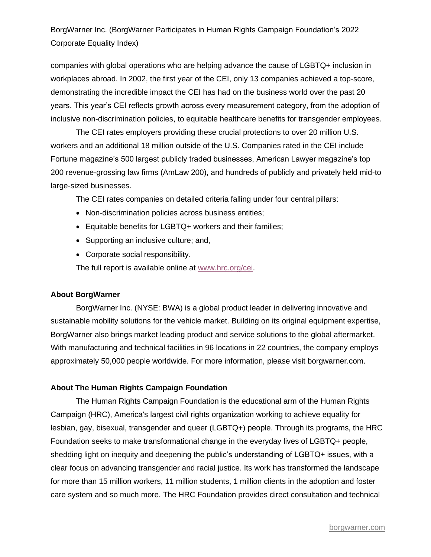## BorgWarner Inc. (BorgWarner Participates in Human Rights Campaign Foundation's 2022 Corporate Equality Index)

companies with global operations who are helping advance the cause of LGBTQ+ inclusion in workplaces abroad. In 2002, the first year of the CEI, only 13 companies achieved a top-score, demonstrating the incredible impact the CEI has had on the business world over the past 20 years. This year's CEI reflects growth across every measurement category, from the adoption of inclusive non-discrimination policies, to equitable healthcare benefits for transgender employees.

The CEI rates employers providing these crucial protections to over 20 million U.S. workers and an additional 18 million outside of the U.S. Companies rated in the CEI include Fortune magazine's 500 largest publicly traded businesses, American Lawyer magazine's top 200 revenue-grossing law firms (AmLaw 200), and hundreds of publicly and privately held mid-to large-sized businesses.

The CEI rates companies on detailed criteria falling under four central pillars:

- Non-discrimination policies across business entities;
- Equitable benefits for LGBTQ+ workers and their families;
- Supporting an inclusive culture; and,
- Corporate social responsibility.

The full report is available online at [www.hrc.org/cei.](http://www.hrc.org/cei)

#### **About BorgWarner**

BorgWarner Inc. (NYSE: BWA) is a global product leader in delivering innovative and sustainable mobility solutions for the vehicle market. Building on its original equipment expertise, BorgWarner also brings market leading product and service solutions to the global aftermarket. With manufacturing and technical facilities in 96 locations in 22 countries, the company employs approximately 50,000 people worldwide. For more information, please visit borgwarner.com.

#### **About The Human Rights Campaign Foundation**

The Human Rights Campaign Foundation is the educational arm of the Human Rights Campaign (HRC), America's largest civil rights organization working to achieve equality for lesbian, gay, bisexual, transgender and queer (LGBTQ+) people. Through its programs, the HRC Foundation seeks to make transformational change in the everyday lives of LGBTQ+ people, shedding light on inequity and deepening the public's understanding of LGBTQ+ issues, with a clear focus on advancing transgender and racial justice. Its work has transformed the landscape for more than 15 million workers, 11 million students, 1 million clients in the adoption and foster care system and so much more. The HRC Foundation provides direct consultation and technical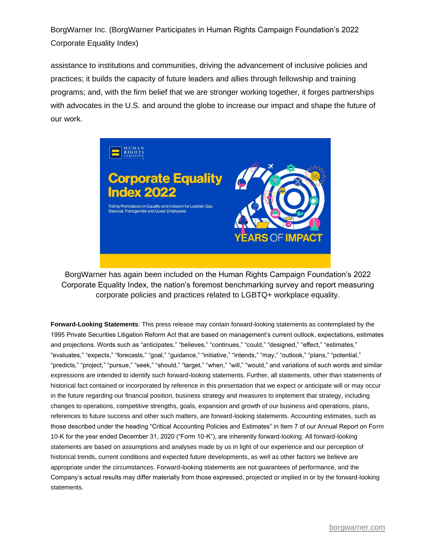BorgWarner Inc. (BorgWarner Participates in Human Rights Campaign Foundation's 2022 Corporate Equality Index)

assistance to institutions and communities, driving the advancement of inclusive policies and practices; it builds the capacity of future leaders and allies through fellowship and training programs; and, with the firm belief that we are stronger working together, it forges partnerships with advocates in the U.S. and around the globe to increase our impact and shape the future of our work.



BorgWarner has again been included on the Human Rights Campaign Foundation's 2022 Corporate Equality Index, the nation's foremost benchmarking survey and report measuring corporate policies and practices related to LGBTQ+ workplace equality.

**Forward-Looking Statements**: This press release may contain forward-looking statements as contemplated by the 1995 Private Securities Litigation Reform Act that are based on management's current outlook, expectations, estimates and projections. Words such as "anticipates," "believes," "continues," "could," "designed," "effect," "estimates," "evaluates," "expects," "forecasts," "goal," "guidance," "initiative," "intends," "may," "outlook," "plans," "potential," "predicts," "project," "pursue," "seek," "should," "target," "when," "will," "would," and variations of such words and similar expressions are intended to identify such forward-looking statements. Further, all statements, other than statements of historical fact contained or incorporated by reference in this presentation that we expect or anticipate will or may occur in the future regarding our financial position, business strategy and measures to implement that strategy, including changes to operations, competitive strengths, goals, expansion and growth of our business and operations, plans, references to future success and other such matters, are forward-looking statements. Accounting estimates, such as those described under the heading "Critical Accounting Policies and Estimates" in Item 7 of our Annual Report on Form 10-K for the year ended December 31, 2020 ("Form 10-K"), are inherently forward-looking. All forward-looking statements are based on assumptions and analyses made by us in light of our experience and our perception of historical trends, current conditions and expected future developments, as well as other factors we believe are appropriate under the circumstances. Forward-looking statements are not guarantees of performance, and the Company's actual results may differ materially from those expressed, projected or implied in or by the forward-looking statements.